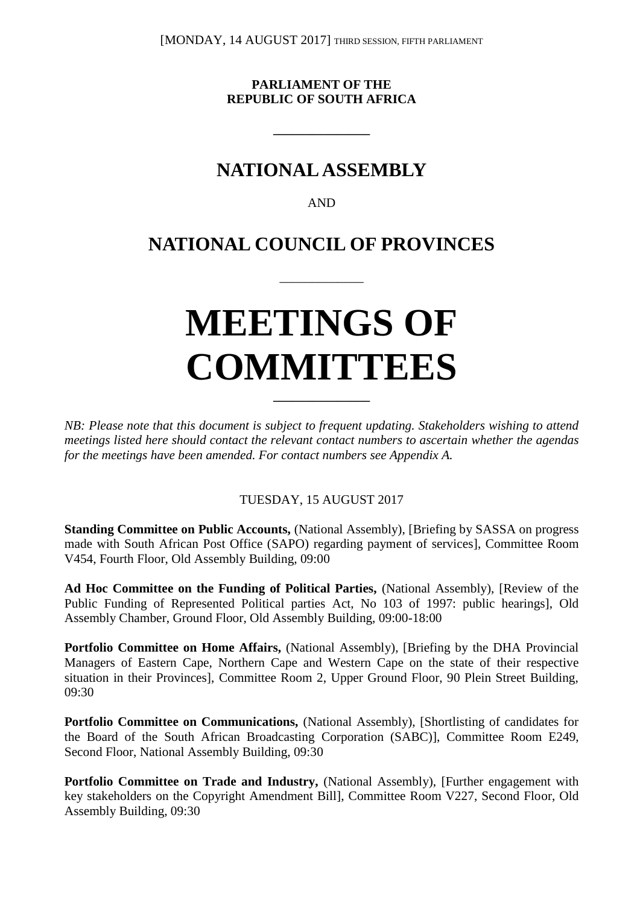[MONDAY, 14 AUGUST 2017] THIRD SESSION, FIFTH PARLIAMENT

**PARLIAMENT OF THE REPUBLIC OF SOUTH AFRICA**

**\_\_\_\_\_\_\_\_\_\_\_\_\_\_\_**

## **NATIONAL ASSEMBLY**

AND

## **NATIONAL COUNCIL OF PROVINCES**

\_\_\_\_\_\_\_\_\_\_\_\_\_

# **MEETINGS OF COMMITTEES**

*NB: Please note that this document is subject to frequent updating. Stakeholders wishing to attend meetings listed here should contact the relevant contact numbers to ascertain whether the agendas for the meetings have been amended. For contact numbers see Appendix A.*

**\_\_\_\_\_\_\_\_\_\_\_\_\_\_\_**

TUESDAY, 15 AUGUST 2017

**Standing Committee on Public Accounts,** (National Assembly), [Briefing by SASSA on progress made with South African Post Office (SAPO) regarding payment of services], Committee Room V454, Fourth Floor, Old Assembly Building, 09:00

**Ad Hoc Committee on the Funding of Political Parties,** (National Assembly), [Review of the Public Funding of Represented Political parties Act, No 103 of 1997: public hearings], Old Assembly Chamber, Ground Floor, Old Assembly Building, 09:00-18:00

**Portfolio Committee on Home Affairs,** (National Assembly), [Briefing by the DHA Provincial Managers of Eastern Cape, Northern Cape and Western Cape on the state of their respective situation in their Provinces], Committee Room 2, Upper Ground Floor, 90 Plein Street Building, 09:30

Portfolio Committee on Communications, (National Assembly), [Shortlisting of candidates for the Board of the South African Broadcasting Corporation (SABC)], Committee Room E249, Second Floor, National Assembly Building, 09:30

Portfolio Committee on Trade and Industry, (National Assembly), [Further engagement with key stakeholders on the Copyright Amendment Bill], Committee Room V227, Second Floor, Old Assembly Building, 09:30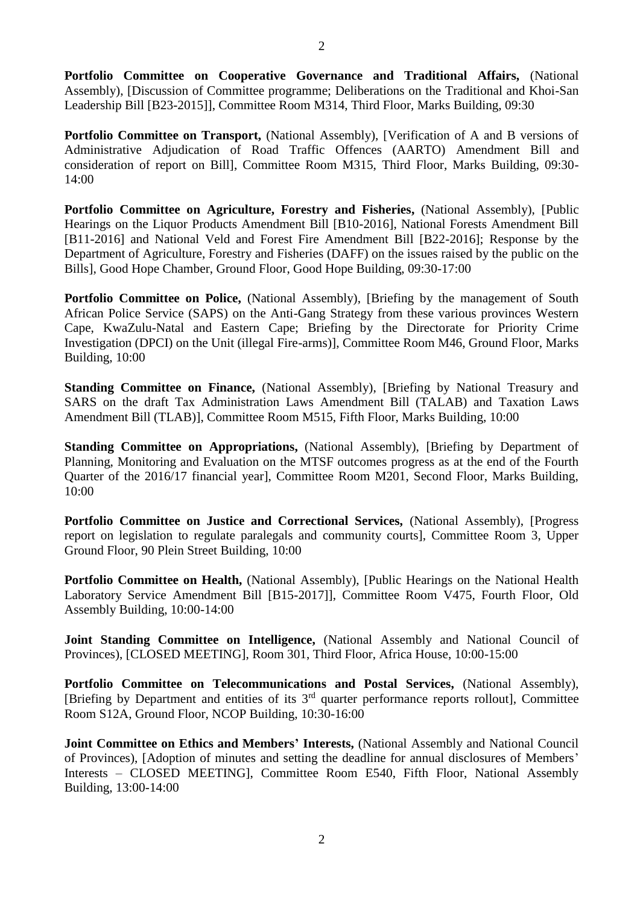**Portfolio Committee on Cooperative Governance and Traditional Affairs,** (National Assembly), [Discussion of Committee programme; Deliberations on the Traditional and Khoi-San Leadership Bill [B23-2015]], Committee Room M314, Third Floor, Marks Building, 09:30

Portfolio Committee on Transport, (National Assembly), [Verification of A and B versions of Administrative Adjudication of Road Traffic Offences (AARTO) Amendment Bill and consideration of report on Bill], Committee Room M315, Third Floor, Marks Building, 09:30- 14:00

**Portfolio Committee on Agriculture, Forestry and Fisheries,** (National Assembly), [Public Hearings on the Liquor Products Amendment Bill [B10-2016], National Forests Amendment Bill [B11-2016] and National Veld and Forest Fire Amendment Bill [B22-2016]; Response by the Department of Agriculture, Forestry and Fisheries (DAFF) on the issues raised by the public on the Bills], Good Hope Chamber, Ground Floor, Good Hope Building, 09:30-17:00

Portfolio Committee on Police, (National Assembly), [Briefing by the management of South African Police Service (SAPS) on the Anti-Gang Strategy from these various provinces Western Cape, KwaZulu-Natal and Eastern Cape; Briefing by the Directorate for Priority Crime Investigation (DPCI) on the Unit (illegal Fire-arms)], Committee Room M46, Ground Floor, Marks Building, 10:00

**Standing Committee on Finance,** (National Assembly), [Briefing by National Treasury and SARS on the draft Tax Administration Laws Amendment Bill (TALAB) and Taxation Laws Amendment Bill (TLAB)], Committee Room M515, Fifth Floor, Marks Building, 10:00

**Standing Committee on Appropriations,** (National Assembly), [Briefing by Department of Planning, Monitoring and Evaluation on the MTSF outcomes progress as at the end of the Fourth Quarter of the 2016/17 financial year], Committee Room M201, Second Floor, Marks Building, 10:00

**Portfolio Committee on Justice and Correctional Services,** (National Assembly), [Progress report on legislation to regulate paralegals and community courts], Committee Room 3, Upper Ground Floor, 90 Plein Street Building, 10:00

**Portfolio Committee on Health,** (National Assembly), [Public Hearings on the National Health Laboratory Service Amendment Bill [B15-2017]], Committee Room V475, Fourth Floor, Old Assembly Building, 10:00-14:00

**Joint Standing Committee on Intelligence,** (National Assembly and National Council of Provinces), [CLOSED MEETING], Room 301, Third Floor, Africa House, 10:00-15:00

**Portfolio Committee on Telecommunications and Postal Services,** (National Assembly), [Briefing by Department and entities of its 3rd quarter performance reports rollout], Committee Room S12A, Ground Floor, NCOP Building, 10:30-16:00

**Joint Committee on Ethics and Members' Interests,** (National Assembly and National Council of Provinces), [Adoption of minutes and setting the deadline for annual disclosures of Members' Interests – CLOSED MEETING], Committee Room E540, Fifth Floor, National Assembly Building, 13:00-14:00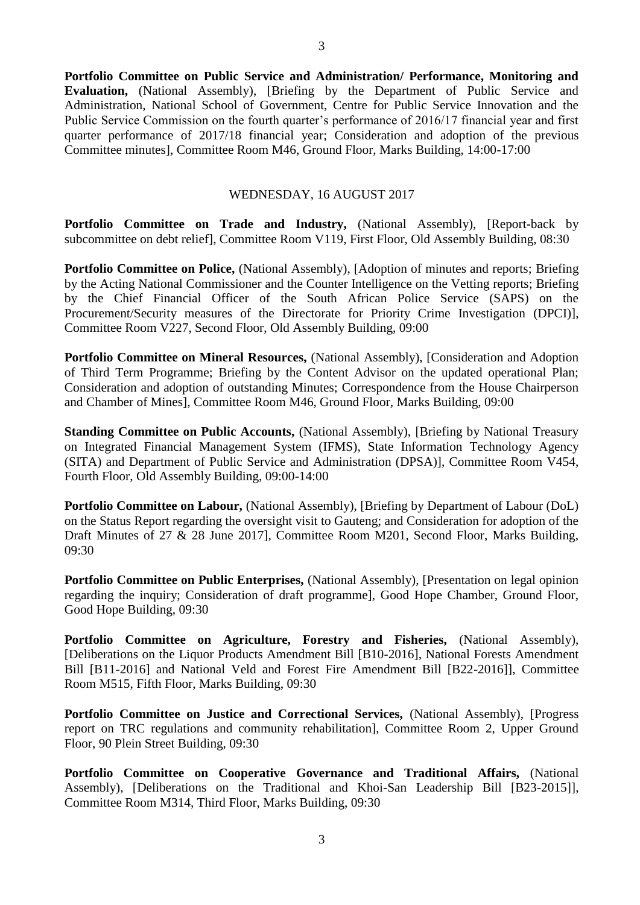**Portfolio Committee on Public Service and Administration/ Performance, Monitoring and Evaluation,** (National Assembly), [Briefing by the Department of Public Service and Administration, National School of Government, Centre for Public Service Innovation and the Public Service Commission on the fourth quarter's performance of 2016/17 financial year and first quarter performance of 2017/18 financial year; Consideration and adoption of the previous Committee minutes], Committee Room M46, Ground Floor, Marks Building, 14:00-17:00

#### WEDNESDAY, 16 AUGUST 2017

**Portfolio Committee on Trade and Industry,** (National Assembly), [Report-back by subcommittee on debt relief], Committee Room V119, First Floor, Old Assembly Building, 08:30

**Portfolio Committee on Police,** (National Assembly), [Adoption of minutes and reports; Briefing by the Acting National Commissioner and the Counter Intelligence on the Vetting reports; Briefing by the Chief Financial Officer of the South African Police Service (SAPS) on the Procurement/Security measures of the Directorate for Priority Crime Investigation (DPCI)], Committee Room V227, Second Floor, Old Assembly Building, 09:00

Portfolio Committee on Mineral Resources, (National Assembly), [Consideration and Adoption of Third Term Programme; Briefing by the Content Advisor on the updated operational Plan; Consideration and adoption of outstanding Minutes; Correspondence from the House Chairperson and Chamber of Mines], Committee Room M46, Ground Floor, Marks Building, 09:00

**Standing Committee on Public Accounts,** (National Assembly), [Briefing by National Treasury on Integrated Financial Management System (IFMS), State Information Technology Agency (SITA) and Department of Public Service and Administration (DPSA)], Committee Room V454, Fourth Floor, Old Assembly Building, 09:00-14:00

**Portfolio Committee on Labour,** (National Assembly), [Briefing by Department of Labour (DoL) on the Status Report regarding the oversight visit to Gauteng; and Consideration for adoption of the Draft Minutes of 27 & 28 June 2017], Committee Room M201, Second Floor, Marks Building, 09:30

**Portfolio Committee on Public Enterprises, (National Assembly), [Presentation on legal opinion** regarding the inquiry; Consideration of draft programme], Good Hope Chamber, Ground Floor, Good Hope Building, 09:30

**Portfolio Committee on Agriculture, Forestry and Fisheries,** (National Assembly), [Deliberations on the Liquor Products Amendment Bill [B10-2016], National Forests Amendment Bill [B11-2016] and National Veld and Forest Fire Amendment Bill [B22-2016]], Committee Room M515, Fifth Floor, Marks Building, 09:30

Portfolio Committee on Justice and Correctional Services, (National Assembly), [Progress report on TRC regulations and community rehabilitation], Committee Room 2, Upper Ground Floor, 90 Plein Street Building, 09:30

**Portfolio Committee on Cooperative Governance and Traditional Affairs,** (National Assembly), [Deliberations on the Traditional and Khoi-San Leadership Bill [B23-2015]], Committee Room M314, Third Floor, Marks Building, 09:30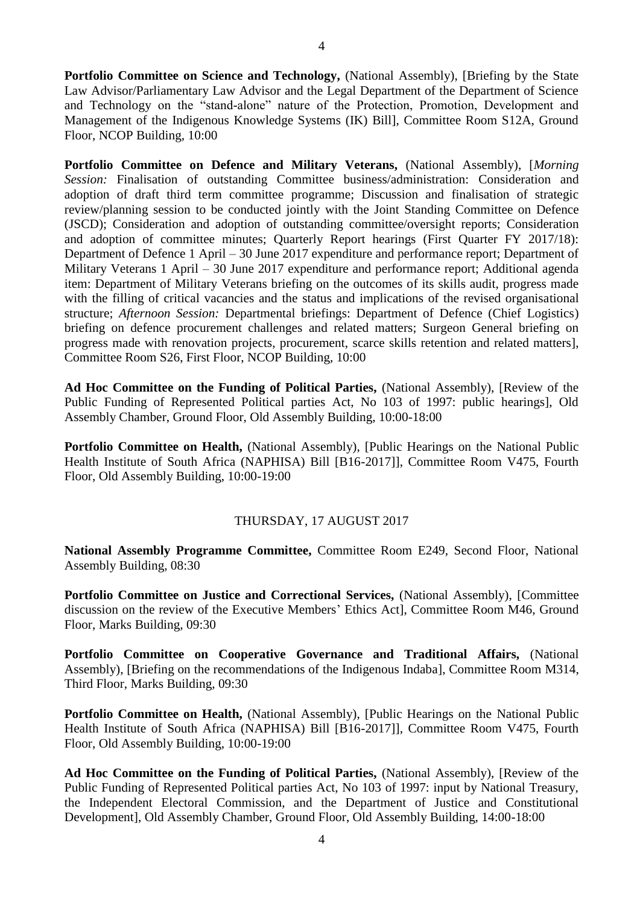Portfolio Committee on Science and Technology, (National Assembly), [Briefing by the State Law Advisor/Parliamentary Law Advisor and the Legal Department of the Department of Science and Technology on the "stand-alone" nature of the Protection, Promotion, Development and Management of the Indigenous Knowledge Systems (IK) Bill], Committee Room S12A, Ground Floor, NCOP Building, 10:00

**Portfolio Committee on Defence and Military Veterans,** (National Assembly), [*Morning Session:* Finalisation of outstanding Committee business/administration: Consideration and adoption of draft third term committee programme; Discussion and finalisation of strategic review/planning session to be conducted jointly with the Joint Standing Committee on Defence (JSCD); Consideration and adoption of outstanding committee/oversight reports; Consideration and adoption of committee minutes; Quarterly Report hearings (First Quarter FY 2017/18): Department of Defence 1 April – 30 June 2017 expenditure and performance report; Department of Military Veterans 1 April – 30 June 2017 expenditure and performance report; Additional agenda item: Department of Military Veterans briefing on the outcomes of its skills audit, progress made with the filling of critical vacancies and the status and implications of the revised organisational structure; *Afternoon Session:* Departmental briefings: Department of Defence (Chief Logistics) briefing on defence procurement challenges and related matters; Surgeon General briefing on progress made with renovation projects, procurement, scarce skills retention and related matters], Committee Room S26, First Floor, NCOP Building, 10:00

**Ad Hoc Committee on the Funding of Political Parties,** (National Assembly), [Review of the Public Funding of Represented Political parties Act, No 103 of 1997: public hearings], Old Assembly Chamber, Ground Floor, Old Assembly Building, 10:00-18:00

**Portfolio Committee on Health,** (National Assembly), [Public Hearings on the National Public Health Institute of South Africa (NAPHISA) Bill [B16-2017]], Committee Room V475, Fourth Floor, Old Assembly Building, 10:00-19:00

#### THURSDAY, 17 AUGUST 2017

**National Assembly Programme Committee,** Committee Room E249, Second Floor, National Assembly Building, 08:30

**Portfolio Committee on Justice and Correctional Services,** (National Assembly), [Committee discussion on the review of the Executive Members' Ethics Act], Committee Room M46, Ground Floor, Marks Building, 09:30

**Portfolio Committee on Cooperative Governance and Traditional Affairs,** (National Assembly), [Briefing on the recommendations of the Indigenous Indaba], Committee Room M314, Third Floor, Marks Building, 09:30

Portfolio Committee on Health, (National Assembly), [Public Hearings on the National Public Health Institute of South Africa (NAPHISA) Bill [B16-2017]], Committee Room V475, Fourth Floor, Old Assembly Building, 10:00-19:00

**Ad Hoc Committee on the Funding of Political Parties,** (National Assembly), [Review of the Public Funding of Represented Political parties Act, No 103 of 1997: input by National Treasury, the Independent Electoral Commission, and the Department of Justice and Constitutional Development], Old Assembly Chamber, Ground Floor, Old Assembly Building, 14:00-18:00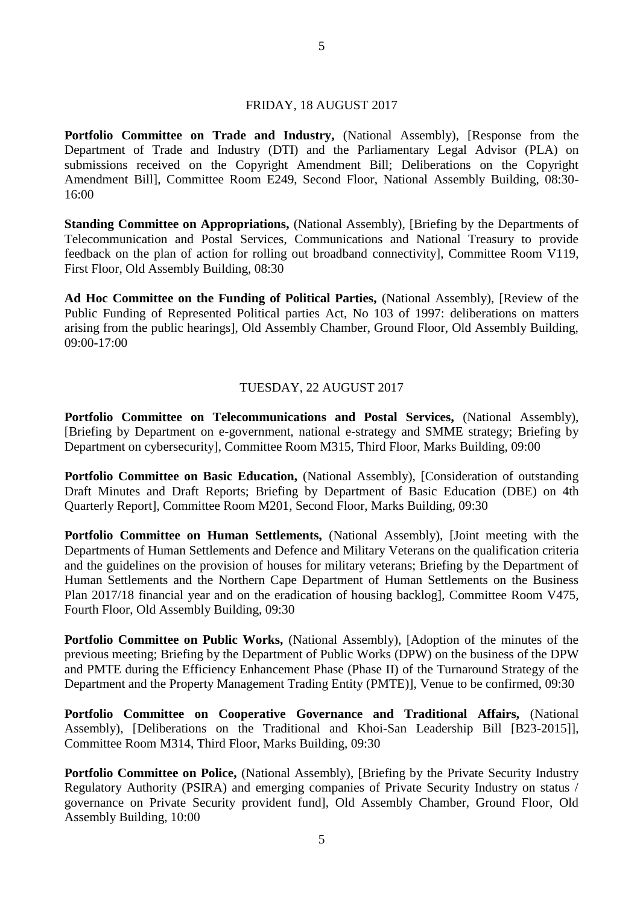#### FRIDAY, 18 AUGUST 2017

**Portfolio Committee on Trade and Industry,** (National Assembly), [Response from the Department of Trade and Industry (DTI) and the Parliamentary Legal Advisor (PLA) on submissions received on the Copyright Amendment Bill; Deliberations on the Copyright Amendment Bill], Committee Room E249, Second Floor, National Assembly Building, 08:30- 16:00

**Standing Committee on Appropriations, (National Assembly), [Briefing by the Departments of** Telecommunication and Postal Services, Communications and National Treasury to provide feedback on the plan of action for rolling out broadband connectivity], Committee Room V119, First Floor, Old Assembly Building, 08:30

**Ad Hoc Committee on the Funding of Political Parties,** (National Assembly), [Review of the Public Funding of Represented Political parties Act, No 103 of 1997: deliberations on matters arising from the public hearings], Old Assembly Chamber, Ground Floor, Old Assembly Building, 09:00-17:00

#### TUESDAY, 22 AUGUST 2017

**Portfolio Committee on Telecommunications and Postal Services,** (National Assembly), [Briefing by Department on e-government, national e-strategy and SMME strategy; Briefing by Department on cybersecurity], Committee Room M315, Third Floor, Marks Building, 09:00

**Portfolio Committee on Basic Education, (National Assembly), [Consideration of outstanding** Draft Minutes and Draft Reports; Briefing by Department of Basic Education (DBE) on 4th Quarterly Report], Committee Room M201, Second Floor, Marks Building, 09:30

**Portfolio Committee on Human Settlements,** (National Assembly), [Joint meeting with the Departments of Human Settlements and Defence and Military Veterans on the qualification criteria and the guidelines on the provision of houses for military veterans; Briefing by the Department of Human Settlements and the Northern Cape Department of Human Settlements on the Business Plan 2017/18 financial year and on the eradication of housing backlog], Committee Room V475, Fourth Floor, Old Assembly Building, 09:30

Portfolio Committee on Public Works, (National Assembly), [Adoption of the minutes of the previous meeting; Briefing by the Department of Public Works (DPW) on the business of the DPW and PMTE during the Efficiency Enhancement Phase (Phase II) of the Turnaround Strategy of the Department and the Property Management Trading Entity (PMTE)], Venue to be confirmed, 09:30

**Portfolio Committee on Cooperative Governance and Traditional Affairs,** (National Assembly), [Deliberations on the Traditional and Khoi-San Leadership Bill [B23-2015]], Committee Room M314, Third Floor, Marks Building, 09:30

**Portfolio Committee on Police,** (National Assembly), [Briefing by the Private Security Industry Regulatory Authority (PSIRA) and emerging companies of Private Security Industry on status / governance on Private Security provident fund], Old Assembly Chamber, Ground Floor, Old Assembly Building, 10:00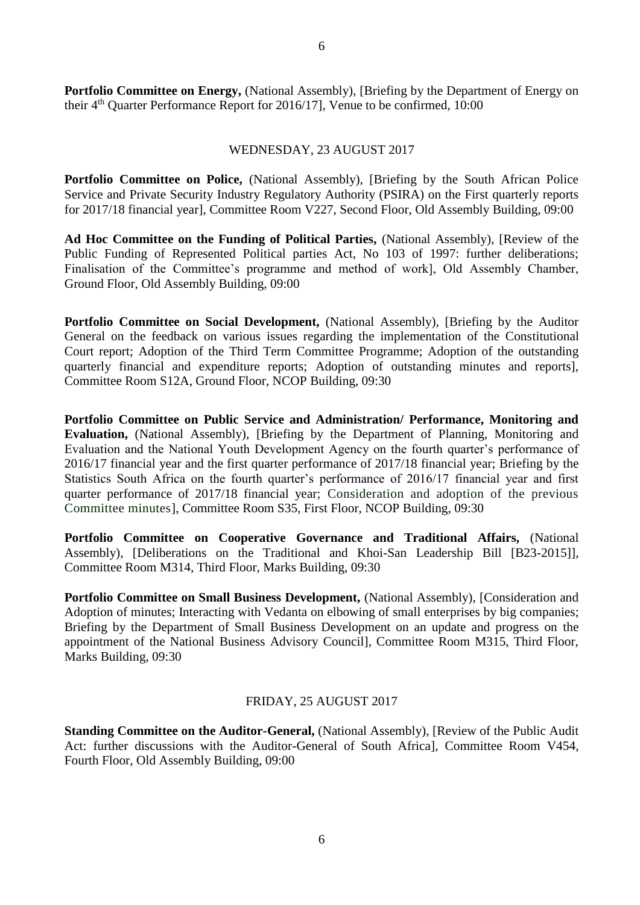**Portfolio Committee on Energy, (National Assembly), [Briefing by the Department of Energy on** their  $4<sup>th</sup>$  Quarter Performance Report for 2016/17], Venue to be confirmed, 10:00

#### WEDNESDAY, 23 AUGUST 2017

**Portfolio Committee on Police,** (National Assembly), [Briefing by the South African Police Service and Private Security Industry Regulatory Authority (PSIRA) on the First quarterly reports for 2017/18 financial year], Committee Room V227, Second Floor, Old Assembly Building, 09:00

**Ad Hoc Committee on the Funding of Political Parties,** (National Assembly), [Review of the Public Funding of Represented Political parties Act, No 103 of 1997: further deliberations; Finalisation of the Committee's programme and method of work], Old Assembly Chamber, Ground Floor, Old Assembly Building, 09:00

Portfolio Committee on Social Development, (National Assembly), [Briefing by the Auditor General on the feedback on various issues regarding the implementation of the Constitutional Court report; Adoption of the Third Term Committee Programme; Adoption of the outstanding quarterly financial and expenditure reports; Adoption of outstanding minutes and reports], Committee Room S12A, Ground Floor, NCOP Building, 09:30

**Portfolio Committee on Public Service and Administration/ Performance, Monitoring and Evaluation,** (National Assembly), [Briefing by the Department of Planning, Monitoring and Evaluation and the National Youth Development Agency on the fourth quarter's performance of 2016/17 financial year and the first quarter performance of 2017/18 financial year; Briefing by the Statistics South Africa on the fourth quarter's performance of 2016/17 financial year and first quarter performance of 2017/18 financial year; Consideration and adoption of the previous Committee minutes], Committee Room S35, First Floor, NCOP Building, 09:30

**Portfolio Committee on Cooperative Governance and Traditional Affairs,** (National Assembly), [Deliberations on the Traditional and Khoi-San Leadership Bill [B23-2015]], Committee Room M314, Third Floor, Marks Building, 09:30

Portfolio Committee on Small Business Development, (National Assembly), [Consideration and Adoption of minutes; Interacting with Vedanta on elbowing of small enterprises by big companies; Briefing by the Department of Small Business Development on an update and progress on the appointment of the National Business Advisory Council], Committee Room M315, Third Floor, Marks Building, 09:30

#### FRIDAY, 25 AUGUST 2017

**Standing Committee on the Auditor-General,** (National Assembly), [Review of the Public Audit Act: further discussions with the Auditor-General of South Africa], Committee Room V454, Fourth Floor, Old Assembly Building, 09:00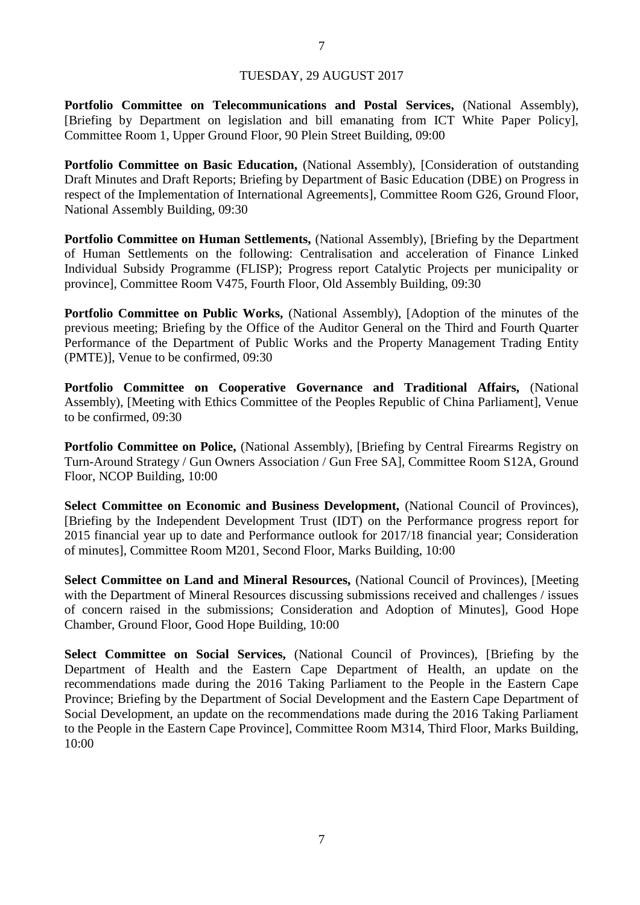#### TUESDAY, 29 AUGUST 2017

**Portfolio Committee on Telecommunications and Postal Services,** (National Assembly), [Briefing by Department on legislation and bill emanating from ICT White Paper Policy], Committee Room 1, Upper Ground Floor, 90 Plein Street Building, 09:00

**Portfolio Committee on Basic Education, (National Assembly), [Consideration of outstanding** Draft Minutes and Draft Reports; Briefing by Department of Basic Education (DBE) on Progress in respect of the Implementation of International Agreements], Committee Room G26, Ground Floor, National Assembly Building, 09:30

**Portfolio Committee on Human Settlements, (National Assembly), [Briefing by the Department** of Human Settlements on the following: Centralisation and acceleration of Finance Linked Individual Subsidy Programme (FLISP); Progress report Catalytic Projects per municipality or province], Committee Room V475, Fourth Floor, Old Assembly Building, 09:30

**Portfolio Committee on Public Works,** (National Assembly), [Adoption of the minutes of the previous meeting; Briefing by the Office of the Auditor General on the Third and Fourth Quarter Performance of the Department of Public Works and the Property Management Trading Entity (PMTE)], Venue to be confirmed, 09:30

**Portfolio Committee on Cooperative Governance and Traditional Affairs,** (National Assembly), [Meeting with Ethics Committee of the Peoples Republic of China Parliament], Venue to be confirmed, 09:30

**Portfolio Committee on Police,** (National Assembly), [Briefing by Central Firearms Registry on Turn-Around Strategy / Gun Owners Association / Gun Free SA], Committee Room S12A, Ground Floor, NCOP Building, 10:00

Select Committee on Economic and Business Development, (National Council of Provinces), [Briefing by the Independent Development Trust (IDT) on the Performance progress report for 2015 financial year up to date and Performance outlook for 2017/18 financial year; Consideration of minutes], Committee Room M201, Second Floor, Marks Building, 10:00

**Select Committee on Land and Mineral Resources,** (National Council of Provinces), [Meeting with the Department of Mineral Resources discussing submissions received and challenges / issues of concern raised in the submissions; Consideration and Adoption of Minutes], Good Hope Chamber, Ground Floor, Good Hope Building, 10:00

**Select Committee on Social Services,** (National Council of Provinces), [Briefing by the Department of Health and the Eastern Cape Department of Health, an update on the recommendations made during the 2016 Taking Parliament to the People in the Eastern Cape Province; Briefing by the Department of Social Development and the Eastern Cape Department of Social Development, an update on the recommendations made during the 2016 Taking Parliament to the People in the Eastern Cape Province], Committee Room M314, Third Floor, Marks Building, 10:00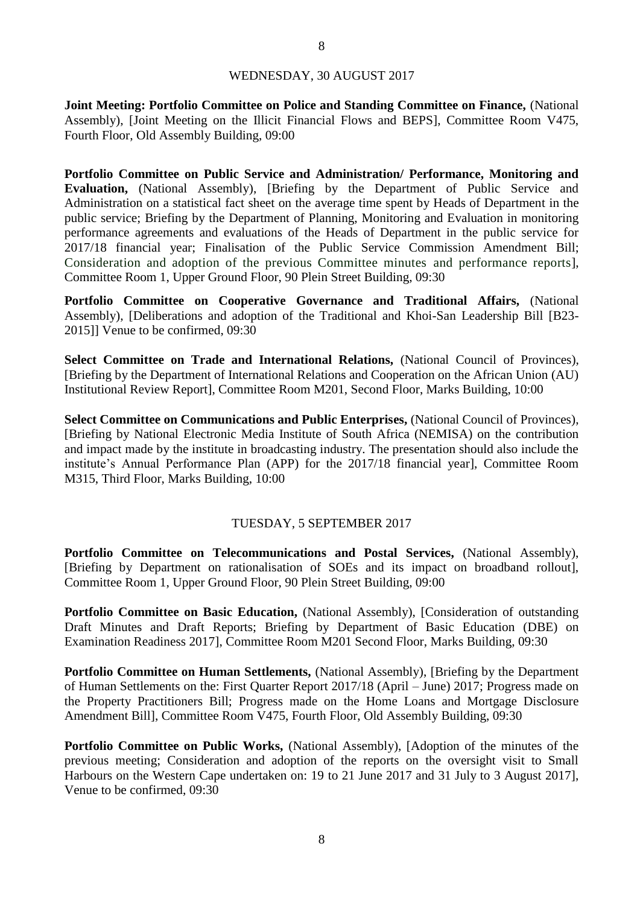#### WEDNESDAY, 30 AUGUST 2017

**Joint Meeting: Portfolio Committee on Police and Standing Committee on Finance,** (National Assembly), [Joint Meeting on the Illicit Financial Flows and BEPS], Committee Room V475, Fourth Floor, Old Assembly Building, 09:00

**Portfolio Committee on Public Service and Administration/ Performance, Monitoring and Evaluation,** (National Assembly), [Briefing by the Department of Public Service and Administration on a statistical fact sheet on the average time spent by Heads of Department in the public service; Briefing by the Department of Planning, Monitoring and Evaluation in monitoring performance agreements and evaluations of the Heads of Department in the public service for 2017/18 financial year; Finalisation of the Public Service Commission Amendment Bill; Consideration and adoption of the previous Committee minutes and performance reports], Committee Room 1, Upper Ground Floor, 90 Plein Street Building, 09:30

**Portfolio Committee on Cooperative Governance and Traditional Affairs,** (National Assembly), [Deliberations and adoption of the Traditional and Khoi-San Leadership Bill [B23- 2015]] Venue to be confirmed, 09:30

Select Committee on Trade and International Relations, (National Council of Provinces), [Briefing by the Department of International Relations and Cooperation on the African Union (AU) Institutional Review Report], Committee Room M201, Second Floor, Marks Building, 10:00

**Select Committee on Communications and Public Enterprises,** (National Council of Provinces), [Briefing by National Electronic Media Institute of South Africa (NEMISA) on the contribution and impact made by the institute in broadcasting industry. The presentation should also include the institute's Annual Performance Plan (APP) for the 2017/18 financial year], Committee Room M315, Third Floor, Marks Building, 10:00

#### TUESDAY, 5 SEPTEMBER 2017

**Portfolio Committee on Telecommunications and Postal Services,** (National Assembly), [Briefing by Department on rationalisation of SOEs and its impact on broadband rollout], Committee Room 1, Upper Ground Floor, 90 Plein Street Building, 09:00

**Portfolio Committee on Basic Education, (National Assembly), [Consideration of outstanding** Draft Minutes and Draft Reports; Briefing by Department of Basic Education (DBE) on Examination Readiness 2017], Committee Room M201 Second Floor, Marks Building, 09:30

**Portfolio Committee on Human Settlements, (National Assembly), [Briefing by the Department** of Human Settlements on the: First Quarter Report 2017/18 (April – June) 2017; Progress made on the Property Practitioners Bill; Progress made on the Home Loans and Mortgage Disclosure Amendment Bill], Committee Room V475, Fourth Floor, Old Assembly Building, 09:30

Portfolio Committee on Public Works, (National Assembly), [Adoption of the minutes of the previous meeting; Consideration and adoption of the reports on the oversight visit to Small Harbours on the Western Cape undertaken on: 19 to 21 June 2017 and 31 July to 3 August 2017], Venue to be confirmed, 09:30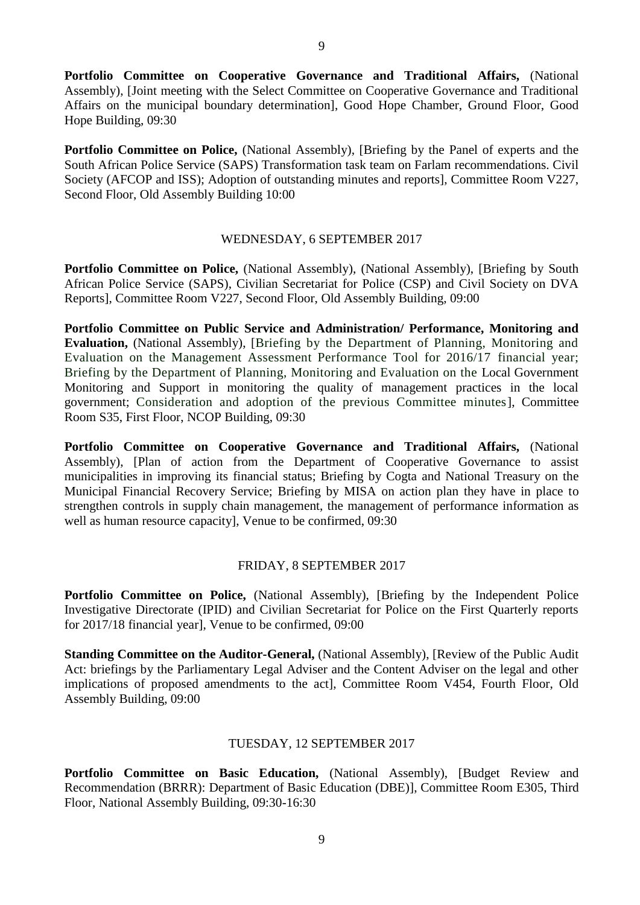**Portfolio Committee on Cooperative Governance and Traditional Affairs,** (National Assembly), [Joint meeting with the Select Committee on Cooperative Governance and Traditional Affairs on the municipal boundary determination], Good Hope Chamber, Ground Floor, Good Hope Building, 09:30

**Portfolio Committee on Police,** (National Assembly), [Briefing by the Panel of experts and the South African Police Service (SAPS) Transformation task team on Farlam recommendations. Civil Society (AFCOP and ISS); Adoption of outstanding minutes and reports], Committee Room V227, Second Floor, Old Assembly Building 10:00

#### WEDNESDAY, 6 SEPTEMBER 2017

Portfolio Committee on Police, (National Assembly), (National Assembly), [Briefing by South African Police Service (SAPS), Civilian Secretariat for Police (CSP) and Civil Society on DVA Reports], Committee Room V227, Second Floor, Old Assembly Building, 09:00

**Portfolio Committee on Public Service and Administration/ Performance, Monitoring and Evaluation,** (National Assembly), [Briefing by the Department of Planning, Monitoring and Evaluation on the Management Assessment Performance Tool for 2016/17 financial year; Briefing by the Department of Planning, Monitoring and Evaluation on the Local Government Monitoring and Support in monitoring the quality of management practices in the local government; Consideration and adoption of the previous Committee minutes], Committee Room S35, First Floor, NCOP Building, 09:30

**Portfolio Committee on Cooperative Governance and Traditional Affairs,** (National Assembly), [Plan of action from the Department of Cooperative Governance to assist municipalities in improving its financial status; Briefing by Cogta and National Treasury on the Municipal Financial Recovery Service; Briefing by MISA on action plan they have in place to strengthen controls in supply chain management, the management of performance information as well as human resource capacity], Venue to be confirmed, 09:30

#### FRIDAY, 8 SEPTEMBER 2017

**Portfolio Committee on Police,** (National Assembly), [Briefing by the Independent Police Investigative Directorate (IPID) and Civilian Secretariat for Police on the First Quarterly reports for 2017/18 financial year], Venue to be confirmed, 09:00

**Standing Committee on the Auditor-General,** (National Assembly), [Review of the Public Audit Act: briefings by the Parliamentary Legal Adviser and the Content Adviser on the legal and other implications of proposed amendments to the act], Committee Room V454, Fourth Floor, Old Assembly Building, 09:00

#### TUESDAY, 12 SEPTEMBER 2017

**Portfolio Committee on Basic Education,** (National Assembly), [Budget Review and Recommendation (BRRR): Department of Basic Education (DBE)], Committee Room E305, Third Floor, National Assembly Building, 09:30-16:30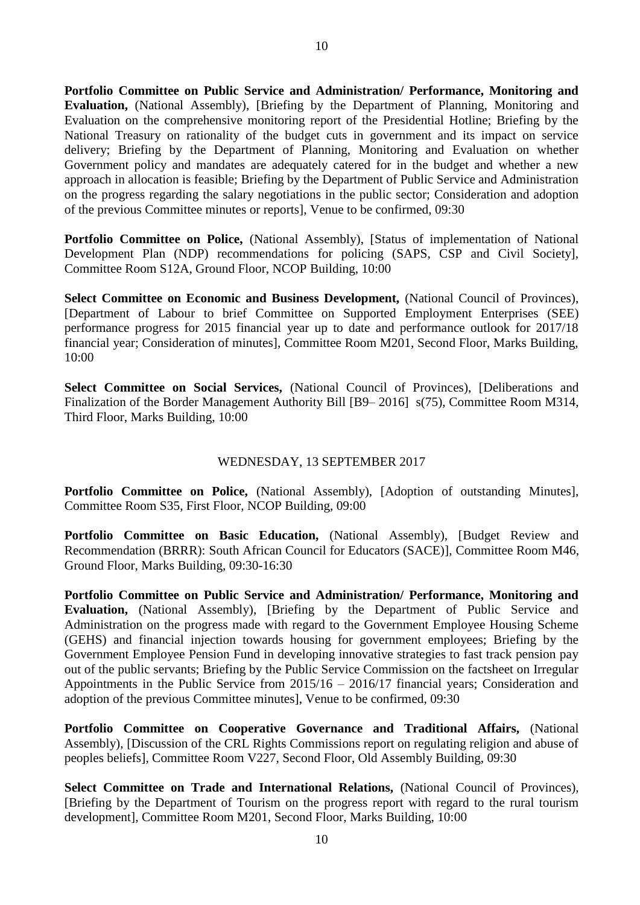**Portfolio Committee on Public Service and Administration/ Performance, Monitoring and Evaluation,** (National Assembly), [Briefing by the Department of Planning, Monitoring and Evaluation on the comprehensive monitoring report of the Presidential Hotline; Briefing by the National Treasury on rationality of the budget cuts in government and its impact on service delivery; Briefing by the Department of Planning, Monitoring and Evaluation on whether Government policy and mandates are adequately catered for in the budget and whether a new approach in allocation is feasible; Briefing by the Department of Public Service and Administration on the progress regarding the salary negotiations in the public sector; Consideration and adoption of the previous Committee minutes or reports], Venue to be confirmed, 09:30

**Portfolio Committee on Police,** (National Assembly), [Status of implementation of National Development Plan (NDP) recommendations for policing (SAPS, CSP and Civil Society], Committee Room S12A, Ground Floor, NCOP Building, 10:00

Select Committee on Economic and Business Development, (National Council of Provinces), [Department of Labour to brief Committee on Supported Employment Enterprises (SEE) performance progress for 2015 financial year up to date and performance outlook for 2017/18 financial year; Consideration of minutes], Committee Room M201, Second Floor, Marks Building, 10:00

**Select Committee on Social Services,** (National Council of Provinces), [Deliberations and Finalization of the Border Management Authority Bill [B9– 2016] s(75), Committee Room M314, Third Floor, Marks Building, 10:00

#### WEDNESDAY, 13 SEPTEMBER 2017

Portfolio Committee on Police, (National Assembly), [Adoption of outstanding Minutes], Committee Room S35, First Floor, NCOP Building, 09:00

**Portfolio Committee on Basic Education,** (National Assembly), [Budget Review and Recommendation (BRRR): South African Council for Educators (SACE)], Committee Room M46, Ground Floor, Marks Building, 09:30-16:30

**Portfolio Committee on Public Service and Administration/ Performance, Monitoring and Evaluation,** (National Assembly), [Briefing by the Department of Public Service and Administration on the progress made with regard to the Government Employee Housing Scheme (GEHS) and financial injection towards housing for government employees; Briefing by the Government Employee Pension Fund in developing innovative strategies to fast track pension pay out of the public servants; Briefing by the Public Service Commission on the factsheet on Irregular Appointments in the Public Service from 2015/16 – 2016/17 financial years; Consideration and adoption of the previous Committee minutes], Venue to be confirmed, 09:30

**Portfolio Committee on Cooperative Governance and Traditional Affairs,** (National Assembly), [Discussion of the CRL Rights Commissions report on regulating religion and abuse of peoples beliefs], Committee Room V227, Second Floor, Old Assembly Building, 09:30

**Select Committee on Trade and International Relations,** (National Council of Provinces), [Briefing by the Department of Tourism on the progress report with regard to the rural tourism development], Committee Room M201, Second Floor, Marks Building, 10:00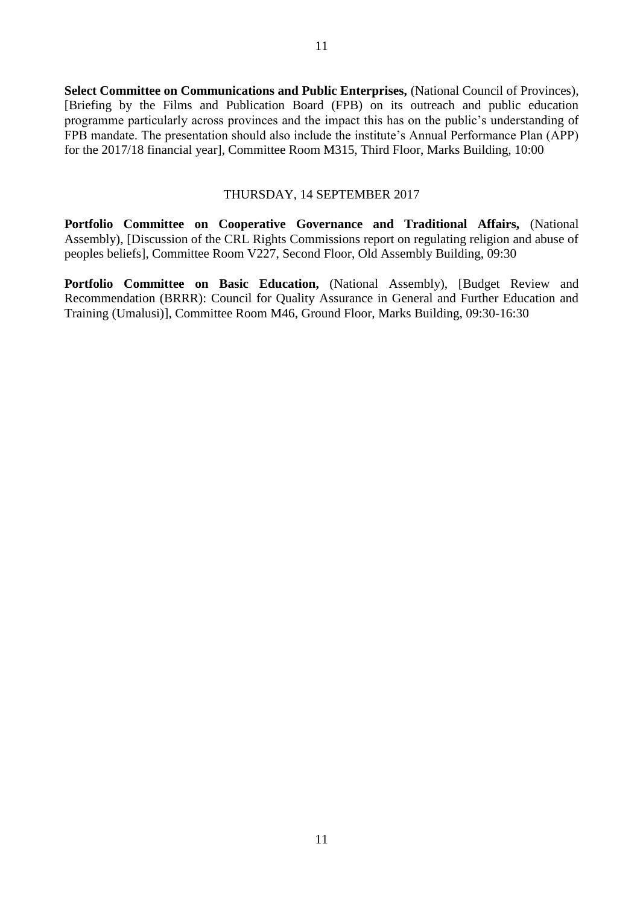**Select Committee on Communications and Public Enterprises,** (National Council of Provinces), [Briefing by the Films and Publication Board (FPB) on its outreach and public education programme particularly across provinces and the impact this has on the public's understanding of FPB mandate. The presentation should also include the institute's Annual Performance Plan (APP) for the 2017/18 financial year], Committee Room M315, Third Floor, Marks Building, 10:00

#### THURSDAY, 14 SEPTEMBER 2017

**Portfolio Committee on Cooperative Governance and Traditional Affairs,** (National Assembly), [Discussion of the CRL Rights Commissions report on regulating religion and abuse of peoples beliefs], Committee Room V227, Second Floor, Old Assembly Building, 09:30

**Portfolio Committee on Basic Education,** (National Assembly), [Budget Review and Recommendation (BRRR): Council for Quality Assurance in General and Further Education and Training (Umalusi)], Committee Room M46, Ground Floor, Marks Building, 09:30-16:30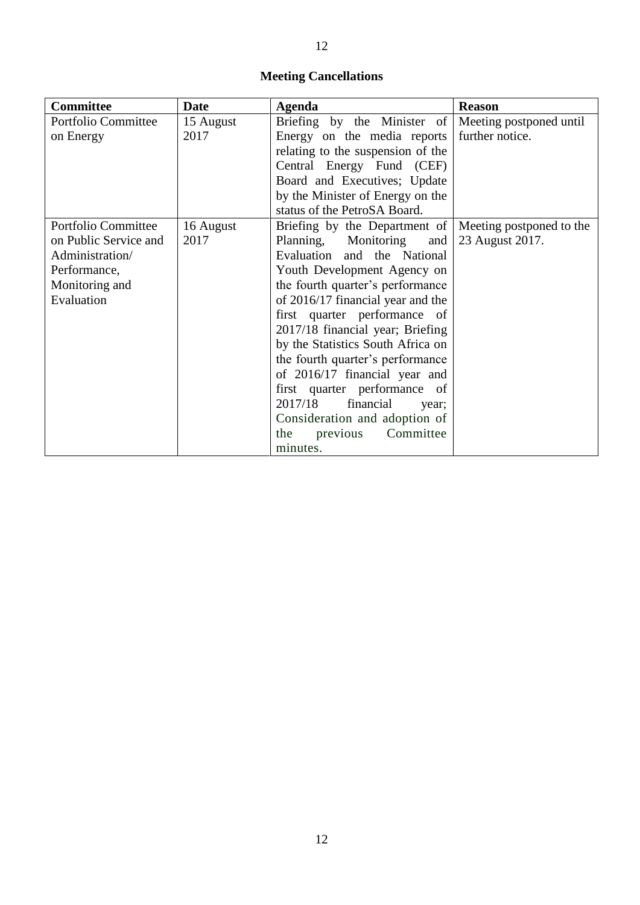### **Meeting Cancellations**

| <b>Committee</b>      | <b>Date</b> | <b>Agenda</b>                     | <b>Reason</b>            |
|-----------------------|-------------|-----------------------------------|--------------------------|
| Portfolio Committee   | 15 August   | Briefing by the Minister of       | Meeting postponed until  |
| on Energy             | 2017        | Energy on the media reports       | further notice.          |
|                       |             | relating to the suspension of the |                          |
|                       |             | Central Energy Fund (CEF)         |                          |
|                       |             | Board and Executives; Update      |                          |
|                       |             | by the Minister of Energy on the  |                          |
|                       |             | status of the PetroSA Board.      |                          |
| Portfolio Committee   | 16 August   | Briefing by the Department of     | Meeting postponed to the |
| on Public Service and | 2017        | Planning, Monitoring<br>and       | 23 August 2017.          |
| Administration/       |             | Evaluation and the National       |                          |
| Performance,          |             | Youth Development Agency on       |                          |
| Monitoring and        |             | the fourth quarter's performance  |                          |
| Evaluation            |             | of 2016/17 financial year and the |                          |
|                       |             | first quarter performance of      |                          |
|                       |             | 2017/18 financial year; Briefing  |                          |
|                       |             | by the Statistics South Africa on |                          |
|                       |             | the fourth quarter's performance  |                          |
|                       |             | of 2016/17 financial year and     |                          |
|                       |             | first quarter performance of      |                          |
|                       |             | 2017/18<br>financial<br>year;     |                          |
|                       |             | Consideration and adoption of     |                          |
|                       |             | Committee<br>the<br>previous      |                          |
|                       |             | minutes.                          |                          |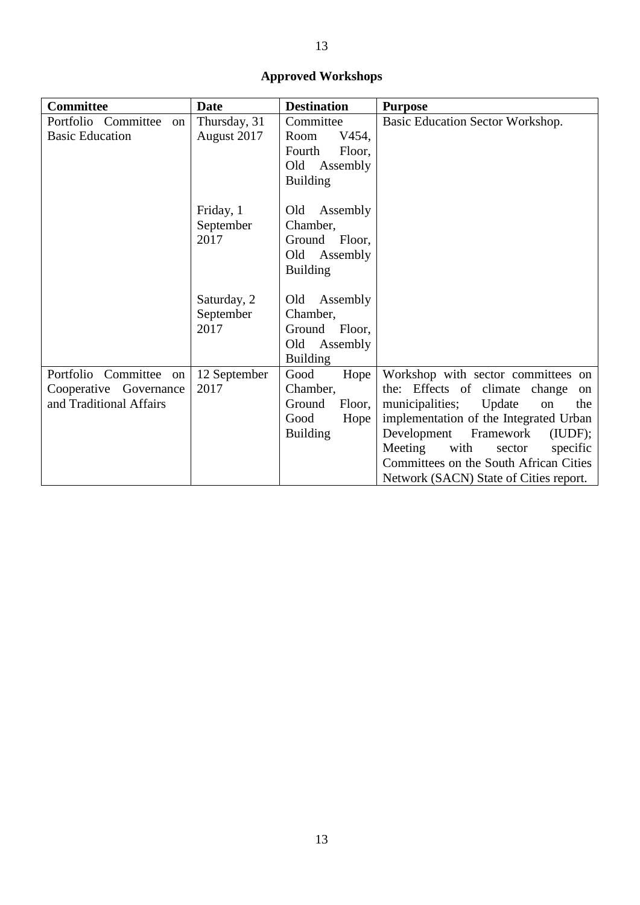## **Approved Workshops**

| <b>Committee</b>                                                            | <b>Date</b>                      | <b>Destination</b>                                                                   | <b>Purpose</b>                                                                                                                                                                                                                                                                                                                        |
|-----------------------------------------------------------------------------|----------------------------------|--------------------------------------------------------------------------------------|---------------------------------------------------------------------------------------------------------------------------------------------------------------------------------------------------------------------------------------------------------------------------------------------------------------------------------------|
| Portfolio Committee<br>on<br><b>Basic Education</b>                         | Thursday, 31<br>August 2017      | Committee<br>Room<br>V454,<br>Fourth<br>Floor,<br>Old<br>Assembly<br><b>Building</b> | Basic Education Sector Workshop.                                                                                                                                                                                                                                                                                                      |
|                                                                             | Friday, 1<br>September<br>2017   | Old<br>Assembly<br>Chamber,<br>Ground Floor,<br>Old Assembly<br><b>Building</b>      |                                                                                                                                                                                                                                                                                                                                       |
|                                                                             | Saturday, 2<br>September<br>2017 | Old Assembly<br>Chamber,<br>Ground Floor,<br>Old Assembly<br><b>Building</b>         |                                                                                                                                                                                                                                                                                                                                       |
| Portfolio Committee on<br>Cooperative Governance<br>and Traditional Affairs | 12 September<br>2017             | Good<br>Hope<br>Chamber,<br>Ground<br>Floor,<br>Good<br>Hope<br><b>Building</b>      | Workshop with sector committees on<br>the: Effects of climate<br>change<br>on<br>municipalities;<br>the<br>Update<br>on<br>implementation of the Integrated Urban<br>Development<br>Framework<br>(IUDF);<br>Meeting<br>with<br>specific<br>sector<br>Committees on the South African Cities<br>Network (SACN) State of Cities report. |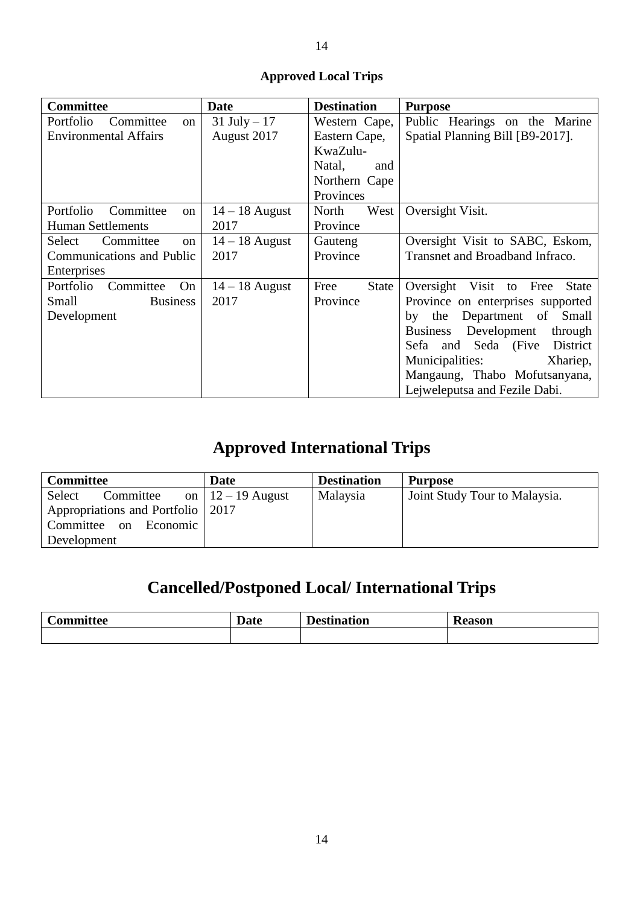## **Approved Local Trips**

| <b>Committee</b>             | <b>Date</b>      | <b>Destination</b>   | <b>Purpose</b>                            |
|------------------------------|------------------|----------------------|-------------------------------------------|
| Committee<br>Portfolio<br>on | $31$ July $-17$  | Western Cape,        | Public Hearings on the Marine             |
| <b>Environmental Affairs</b> | August 2017      | Eastern Cape,        | Spatial Planning Bill [B9-2017].          |
|                              |                  | KwaZulu-             |                                           |
|                              |                  | Natal,<br>and        |                                           |
|                              |                  | Northern Cape        |                                           |
|                              |                  | Provinces            |                                           |
| Portfolio<br>Committee<br>on | $14 - 18$ August | North<br>West        | Oversight Visit.                          |
| <b>Human Settlements</b>     | 2017             | Province             |                                           |
| Committee<br>Select<br>on    | $14 - 18$ August | Gauteng              | Oversight Visit to SABC, Eskom,           |
| Communications and Public    | 2017             | Province             | Transnet and Broadband Infraco.           |
| Enterprises                  |                  |                      |                                           |
| Portfolio<br>Committee<br>On | $14 - 18$ August | Free<br><b>State</b> | Oversight Visit to Free<br><b>State</b>   |
| Small<br><b>Business</b>     | 2017             | Province             | Province on enterprises supported         |
| Development                  |                  |                      | Department of<br>Small<br>by the          |
|                              |                  |                      | Development<br><b>Business</b><br>through |
|                              |                  |                      | Sefa and Seda (Five District              |
|                              |                  |                      | Municipalities:<br>Xhariep,               |
|                              |                  |                      | Mangaung, Thabo Mofutsanyana,             |
|                              |                  |                      | Lejweleputsa and Fezile Dabi.             |

# **Approved International Trips**

| <b>Committee</b>                  | <b>Date</b>                        | <b>Destination</b> | <b>Purpose</b>                |
|-----------------------------------|------------------------------------|--------------------|-------------------------------|
| Select<br>Committee               | on $\left  12 - 19 \right $ August | Malaysia           | Joint Study Tour to Malaysia. |
| Appropriations and Portfolio 2017 |                                    |                    |                               |
| Committee on Economic             |                                    |                    |                               |
| Development                       |                                    |                    |                               |

# **Cancelled/Postponed Local/ International Trips**

| -<br>$\sim$ $\sim$ $\sim$ $\sim$ $\sim$<br>ttee<br>- - - | $\blacksquare$<br><b>Date</b> | $-$ 3 $ -$<br>on<br>___ | ллелн<br>Reason |
|----------------------------------------------------------|-------------------------------|-------------------------|-----------------|
|                                                          |                               |                         |                 |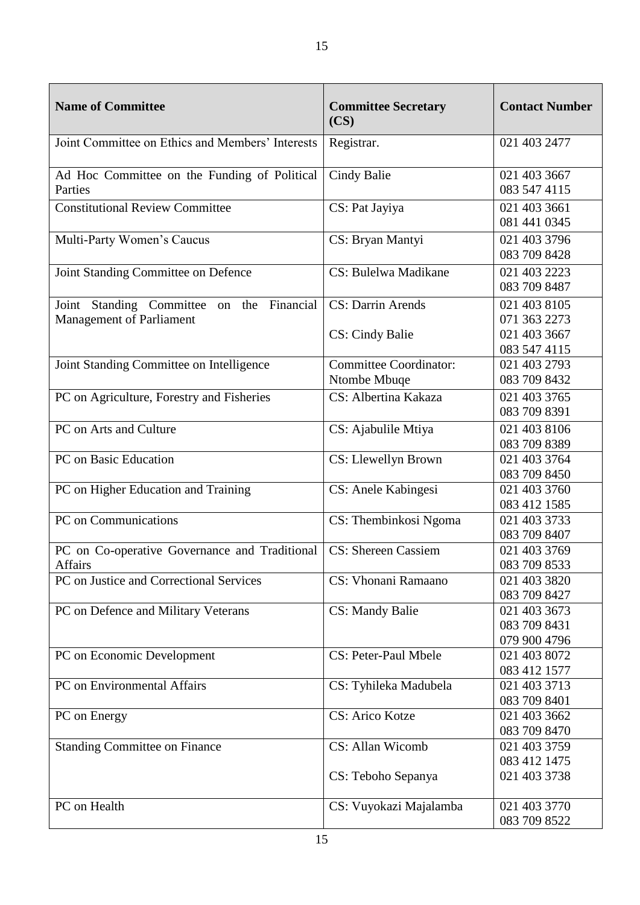| <b>Name of Committee</b>                                                           | <b>Committee Secretary</b><br>(CS)            | <b>Contact Number</b>                        |
|------------------------------------------------------------------------------------|-----------------------------------------------|----------------------------------------------|
| Joint Committee on Ethics and Members' Interests                                   | Registrar.                                    | 021 403 2477                                 |
| Ad Hoc Committee on the Funding of Political<br>Parties                            | Cindy Balie                                   | 021 403 3667<br>083 547 4115                 |
| <b>Constitutional Review Committee</b>                                             | CS: Pat Jayiya                                | 021 403 3661<br>081 441 0345                 |
| Multi-Party Women's Caucus                                                         | CS: Bryan Mantyi                              | 021 403 3796<br>083 709 8428                 |
| Joint Standing Committee on Defence                                                | CS: Bulelwa Madikane                          | 021 403 2223<br>083 709 8487                 |
| Joint Standing Committee<br>Financial<br>on the<br><b>Management of Parliament</b> | <b>CS: Darrin Arends</b>                      | 021 403 8105<br>071 363 2273                 |
|                                                                                    | CS: Cindy Balie                               | 021 403 3667<br>083 547 4115                 |
| Joint Standing Committee on Intelligence                                           | <b>Committee Coordinator:</b><br>Ntombe Mbuqe | 021 403 2793<br>083 709 8432                 |
| PC on Agriculture, Forestry and Fisheries                                          | CS: Albertina Kakaza                          | 021 403 3765<br>083 709 8391                 |
| PC on Arts and Culture                                                             | CS: Ajabulile Mtiya                           | 021 403 8106<br>083 709 8389                 |
| PC on Basic Education                                                              | CS: Llewellyn Brown                           | 021 403 3764<br>083 709 8450                 |
| PC on Higher Education and Training                                                | CS: Anele Kabingesi                           | 021 403 3760<br>083 412 1585                 |
| PC on Communications                                                               | CS: Thembinkosi Ngoma                         | 021 403 3733<br>083 709 8407                 |
| PC on Co-operative Governance and Traditional<br><b>Affairs</b>                    | <b>CS: Shereen Cassiem</b>                    | 021 403 3769<br>083 709 8533                 |
| PC on Justice and Correctional Services                                            | CS: Vhonani Ramaano                           | 021 403 3820<br>083 709 8427                 |
| PC on Defence and Military Veterans                                                | <b>CS: Mandy Balie</b>                        | 021 403 3673<br>083 709 8431<br>079 900 4796 |
| PC on Economic Development                                                         | CS: Peter-Paul Mbele                          | 021 403 8072<br>083 412 1577                 |
| PC on Environmental Affairs                                                        | CS: Tyhileka Madubela                         | 021 403 3713<br>083 709 8401                 |
| PC on Energy                                                                       | <b>CS: Arico Kotze</b>                        | 021 403 3662<br>083 709 8470                 |
| <b>Standing Committee on Finance</b>                                               | CS: Allan Wicomb                              | 021 403 3759<br>083 412 1475                 |
|                                                                                    | CS: Teboho Sepanya                            | 021 403 3738                                 |
| PC on Health                                                                       | CS: Vuyokazi Majalamba                        | 021 403 3770<br>083 709 8522                 |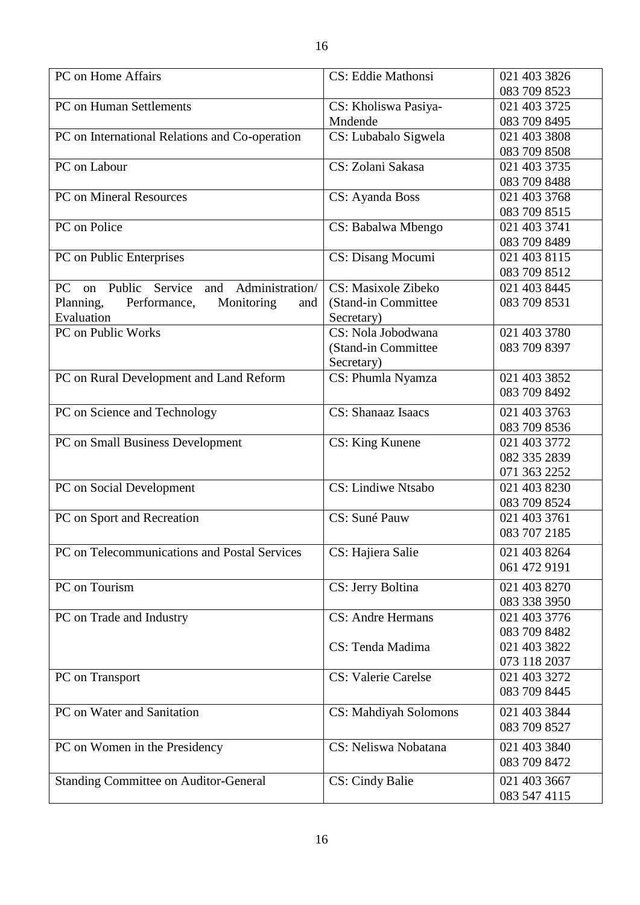| 083 709 8523<br><b>PC</b> on Human Settlements<br>021 403 3725<br>CS: Kholiswa Pasiya-<br>Mndende<br>083 709 8495<br>PC on International Relations and Co-operation<br>CS: Lubabalo Sigwela<br>021 403 3808<br>083 709 8508<br>CS: Zolani Sakasa<br>PC on Labour<br>021 403 3735<br>083 709 8488<br><b>PC</b> on Mineral Resources<br>021 403 3768<br>CS: Ayanda Boss<br>083 709 8515<br>PC on Police<br>CS: Babalwa Mbengo<br>021 403 3741<br>083 709 8489<br>PC on Public Enterprises<br>CS: Disang Mocumi<br>021 403 8115<br>083 709 8512<br>Administration/<br><b>CS: Masixole Zibeko</b><br>Public<br>Service<br>PC<br>021 403 8445<br>and<br>on<br>083 709 8531<br>(Stand-in Committee)<br>Planning,<br>Performance,<br>Monitoring<br>and<br>Evaluation<br>Secretary)<br>PC on Public Works<br>CS: Nola Jobodwana<br>021 403 3780<br>(Stand-in Committee<br>083 709 8397<br>Secretary)<br>PC on Rural Development and Land Reform<br>CS: Phumla Nyamza<br>021 403 3852<br>083 709 8492<br>PC on Science and Technology<br><b>CS</b> : Shanaaz Isaacs<br>021 403 3763<br>083 709 8536<br>PC on Small Business Development<br>CS: King Kunene<br>021 403 3772<br>082 335 2839<br>071 363 2252<br>CS: Lindiwe Ntsabo<br>PC on Social Development<br>021 403 8230<br>083 709 8524<br>CS: Suné Pauw<br>PC on Sport and Recreation<br>021 403 3761<br>083 707 2185<br>PC on Telecommunications and Postal Services<br>CS: Hajiera Salie<br>021 403 8264<br>061 472 9191<br>CS: Jerry Boltina<br>021 403 8270<br>PC on Tourism<br>083 338 3950<br><b>CS: Andre Hermans</b><br>PC on Trade and Industry<br>021 403 3776<br>083 709 8482<br>CS: Tenda Madima<br>021 403 3822<br>073 118 2037<br><b>CS: Valerie Carelse</b><br>021 403 3272<br>PC on Transport<br>083 709 8445<br>PC on Water and Sanitation<br>CS: Mahdiyah Solomons<br>021 403 3844<br>083 709 8527<br>CS: Neliswa Nobatana<br>PC on Women in the Presidency<br>021 403 3840<br>083 709 8472<br><b>Standing Committee on Auditor-General</b><br><b>CS: Cindy Balie</b><br>021 403 3667<br>083 547 4115 |                    |                           |              |
|----------------------------------------------------------------------------------------------------------------------------------------------------------------------------------------------------------------------------------------------------------------------------------------------------------------------------------------------------------------------------------------------------------------------------------------------------------------------------------------------------------------------------------------------------------------------------------------------------------------------------------------------------------------------------------------------------------------------------------------------------------------------------------------------------------------------------------------------------------------------------------------------------------------------------------------------------------------------------------------------------------------------------------------------------------------------------------------------------------------------------------------------------------------------------------------------------------------------------------------------------------------------------------------------------------------------------------------------------------------------------------------------------------------------------------------------------------------------------------------------------------------------------------------------------------------------------------------------------------------------------------------------------------------------------------------------------------------------------------------------------------------------------------------------------------------------------------------------------------------------------------------------------------------------------------------------------------------------------------------------------------------------------------------------------------------------|--------------------|---------------------------|--------------|
|                                                                                                                                                                                                                                                                                                                                                                                                                                                                                                                                                                                                                                                                                                                                                                                                                                                                                                                                                                                                                                                                                                                                                                                                                                                                                                                                                                                                                                                                                                                                                                                                                                                                                                                                                                                                                                                                                                                                                                                                                                                                      | PC on Home Affairs | <b>CS: Eddie Mathonsi</b> | 021 403 3826 |
|                                                                                                                                                                                                                                                                                                                                                                                                                                                                                                                                                                                                                                                                                                                                                                                                                                                                                                                                                                                                                                                                                                                                                                                                                                                                                                                                                                                                                                                                                                                                                                                                                                                                                                                                                                                                                                                                                                                                                                                                                                                                      |                    |                           |              |
|                                                                                                                                                                                                                                                                                                                                                                                                                                                                                                                                                                                                                                                                                                                                                                                                                                                                                                                                                                                                                                                                                                                                                                                                                                                                                                                                                                                                                                                                                                                                                                                                                                                                                                                                                                                                                                                                                                                                                                                                                                                                      |                    |                           |              |
|                                                                                                                                                                                                                                                                                                                                                                                                                                                                                                                                                                                                                                                                                                                                                                                                                                                                                                                                                                                                                                                                                                                                                                                                                                                                                                                                                                                                                                                                                                                                                                                                                                                                                                                                                                                                                                                                                                                                                                                                                                                                      |                    |                           |              |
|                                                                                                                                                                                                                                                                                                                                                                                                                                                                                                                                                                                                                                                                                                                                                                                                                                                                                                                                                                                                                                                                                                                                                                                                                                                                                                                                                                                                                                                                                                                                                                                                                                                                                                                                                                                                                                                                                                                                                                                                                                                                      |                    |                           |              |
|                                                                                                                                                                                                                                                                                                                                                                                                                                                                                                                                                                                                                                                                                                                                                                                                                                                                                                                                                                                                                                                                                                                                                                                                                                                                                                                                                                                                                                                                                                                                                                                                                                                                                                                                                                                                                                                                                                                                                                                                                                                                      |                    |                           |              |
|                                                                                                                                                                                                                                                                                                                                                                                                                                                                                                                                                                                                                                                                                                                                                                                                                                                                                                                                                                                                                                                                                                                                                                                                                                                                                                                                                                                                                                                                                                                                                                                                                                                                                                                                                                                                                                                                                                                                                                                                                                                                      |                    |                           |              |
|                                                                                                                                                                                                                                                                                                                                                                                                                                                                                                                                                                                                                                                                                                                                                                                                                                                                                                                                                                                                                                                                                                                                                                                                                                                                                                                                                                                                                                                                                                                                                                                                                                                                                                                                                                                                                                                                                                                                                                                                                                                                      |                    |                           |              |
|                                                                                                                                                                                                                                                                                                                                                                                                                                                                                                                                                                                                                                                                                                                                                                                                                                                                                                                                                                                                                                                                                                                                                                                                                                                                                                                                                                                                                                                                                                                                                                                                                                                                                                                                                                                                                                                                                                                                                                                                                                                                      |                    |                           |              |
|                                                                                                                                                                                                                                                                                                                                                                                                                                                                                                                                                                                                                                                                                                                                                                                                                                                                                                                                                                                                                                                                                                                                                                                                                                                                                                                                                                                                                                                                                                                                                                                                                                                                                                                                                                                                                                                                                                                                                                                                                                                                      |                    |                           |              |
|                                                                                                                                                                                                                                                                                                                                                                                                                                                                                                                                                                                                                                                                                                                                                                                                                                                                                                                                                                                                                                                                                                                                                                                                                                                                                                                                                                                                                                                                                                                                                                                                                                                                                                                                                                                                                                                                                                                                                                                                                                                                      |                    |                           |              |
|                                                                                                                                                                                                                                                                                                                                                                                                                                                                                                                                                                                                                                                                                                                                                                                                                                                                                                                                                                                                                                                                                                                                                                                                                                                                                                                                                                                                                                                                                                                                                                                                                                                                                                                                                                                                                                                                                                                                                                                                                                                                      |                    |                           |              |
|                                                                                                                                                                                                                                                                                                                                                                                                                                                                                                                                                                                                                                                                                                                                                                                                                                                                                                                                                                                                                                                                                                                                                                                                                                                                                                                                                                                                                                                                                                                                                                                                                                                                                                                                                                                                                                                                                                                                                                                                                                                                      |                    |                           |              |
|                                                                                                                                                                                                                                                                                                                                                                                                                                                                                                                                                                                                                                                                                                                                                                                                                                                                                                                                                                                                                                                                                                                                                                                                                                                                                                                                                                                                                                                                                                                                                                                                                                                                                                                                                                                                                                                                                                                                                                                                                                                                      |                    |                           |              |
|                                                                                                                                                                                                                                                                                                                                                                                                                                                                                                                                                                                                                                                                                                                                                                                                                                                                                                                                                                                                                                                                                                                                                                                                                                                                                                                                                                                                                                                                                                                                                                                                                                                                                                                                                                                                                                                                                                                                                                                                                                                                      |                    |                           |              |
|                                                                                                                                                                                                                                                                                                                                                                                                                                                                                                                                                                                                                                                                                                                                                                                                                                                                                                                                                                                                                                                                                                                                                                                                                                                                                                                                                                                                                                                                                                                                                                                                                                                                                                                                                                                                                                                                                                                                                                                                                                                                      |                    |                           |              |
|                                                                                                                                                                                                                                                                                                                                                                                                                                                                                                                                                                                                                                                                                                                                                                                                                                                                                                                                                                                                                                                                                                                                                                                                                                                                                                                                                                                                                                                                                                                                                                                                                                                                                                                                                                                                                                                                                                                                                                                                                                                                      |                    |                           |              |
|                                                                                                                                                                                                                                                                                                                                                                                                                                                                                                                                                                                                                                                                                                                                                                                                                                                                                                                                                                                                                                                                                                                                                                                                                                                                                                                                                                                                                                                                                                                                                                                                                                                                                                                                                                                                                                                                                                                                                                                                                                                                      |                    |                           |              |
|                                                                                                                                                                                                                                                                                                                                                                                                                                                                                                                                                                                                                                                                                                                                                                                                                                                                                                                                                                                                                                                                                                                                                                                                                                                                                                                                                                                                                                                                                                                                                                                                                                                                                                                                                                                                                                                                                                                                                                                                                                                                      |                    |                           |              |
|                                                                                                                                                                                                                                                                                                                                                                                                                                                                                                                                                                                                                                                                                                                                                                                                                                                                                                                                                                                                                                                                                                                                                                                                                                                                                                                                                                                                                                                                                                                                                                                                                                                                                                                                                                                                                                                                                                                                                                                                                                                                      |                    |                           |              |
|                                                                                                                                                                                                                                                                                                                                                                                                                                                                                                                                                                                                                                                                                                                                                                                                                                                                                                                                                                                                                                                                                                                                                                                                                                                                                                                                                                                                                                                                                                                                                                                                                                                                                                                                                                                                                                                                                                                                                                                                                                                                      |                    |                           |              |
|                                                                                                                                                                                                                                                                                                                                                                                                                                                                                                                                                                                                                                                                                                                                                                                                                                                                                                                                                                                                                                                                                                                                                                                                                                                                                                                                                                                                                                                                                                                                                                                                                                                                                                                                                                                                                                                                                                                                                                                                                                                                      |                    |                           |              |
|                                                                                                                                                                                                                                                                                                                                                                                                                                                                                                                                                                                                                                                                                                                                                                                                                                                                                                                                                                                                                                                                                                                                                                                                                                                                                                                                                                                                                                                                                                                                                                                                                                                                                                                                                                                                                                                                                                                                                                                                                                                                      |                    |                           |              |
|                                                                                                                                                                                                                                                                                                                                                                                                                                                                                                                                                                                                                                                                                                                                                                                                                                                                                                                                                                                                                                                                                                                                                                                                                                                                                                                                                                                                                                                                                                                                                                                                                                                                                                                                                                                                                                                                                                                                                                                                                                                                      |                    |                           |              |
|                                                                                                                                                                                                                                                                                                                                                                                                                                                                                                                                                                                                                                                                                                                                                                                                                                                                                                                                                                                                                                                                                                                                                                                                                                                                                                                                                                                                                                                                                                                                                                                                                                                                                                                                                                                                                                                                                                                                                                                                                                                                      |                    |                           |              |
|                                                                                                                                                                                                                                                                                                                                                                                                                                                                                                                                                                                                                                                                                                                                                                                                                                                                                                                                                                                                                                                                                                                                                                                                                                                                                                                                                                                                                                                                                                                                                                                                                                                                                                                                                                                                                                                                                                                                                                                                                                                                      |                    |                           |              |
|                                                                                                                                                                                                                                                                                                                                                                                                                                                                                                                                                                                                                                                                                                                                                                                                                                                                                                                                                                                                                                                                                                                                                                                                                                                                                                                                                                                                                                                                                                                                                                                                                                                                                                                                                                                                                                                                                                                                                                                                                                                                      |                    |                           |              |
|                                                                                                                                                                                                                                                                                                                                                                                                                                                                                                                                                                                                                                                                                                                                                                                                                                                                                                                                                                                                                                                                                                                                                                                                                                                                                                                                                                                                                                                                                                                                                                                                                                                                                                                                                                                                                                                                                                                                                                                                                                                                      |                    |                           |              |
|                                                                                                                                                                                                                                                                                                                                                                                                                                                                                                                                                                                                                                                                                                                                                                                                                                                                                                                                                                                                                                                                                                                                                                                                                                                                                                                                                                                                                                                                                                                                                                                                                                                                                                                                                                                                                                                                                                                                                                                                                                                                      |                    |                           |              |
|                                                                                                                                                                                                                                                                                                                                                                                                                                                                                                                                                                                                                                                                                                                                                                                                                                                                                                                                                                                                                                                                                                                                                                                                                                                                                                                                                                                                                                                                                                                                                                                                                                                                                                                                                                                                                                                                                                                                                                                                                                                                      |                    |                           |              |
|                                                                                                                                                                                                                                                                                                                                                                                                                                                                                                                                                                                                                                                                                                                                                                                                                                                                                                                                                                                                                                                                                                                                                                                                                                                                                                                                                                                                                                                                                                                                                                                                                                                                                                                                                                                                                                                                                                                                                                                                                                                                      |                    |                           |              |
|                                                                                                                                                                                                                                                                                                                                                                                                                                                                                                                                                                                                                                                                                                                                                                                                                                                                                                                                                                                                                                                                                                                                                                                                                                                                                                                                                                                                                                                                                                                                                                                                                                                                                                                                                                                                                                                                                                                                                                                                                                                                      |                    |                           |              |
|                                                                                                                                                                                                                                                                                                                                                                                                                                                                                                                                                                                                                                                                                                                                                                                                                                                                                                                                                                                                                                                                                                                                                                                                                                                                                                                                                                                                                                                                                                                                                                                                                                                                                                                                                                                                                                                                                                                                                                                                                                                                      |                    |                           |              |
|                                                                                                                                                                                                                                                                                                                                                                                                                                                                                                                                                                                                                                                                                                                                                                                                                                                                                                                                                                                                                                                                                                                                                                                                                                                                                                                                                                                                                                                                                                                                                                                                                                                                                                                                                                                                                                                                                                                                                                                                                                                                      |                    |                           |              |
|                                                                                                                                                                                                                                                                                                                                                                                                                                                                                                                                                                                                                                                                                                                                                                                                                                                                                                                                                                                                                                                                                                                                                                                                                                                                                                                                                                                                                                                                                                                                                                                                                                                                                                                                                                                                                                                                                                                                                                                                                                                                      |                    |                           |              |
|                                                                                                                                                                                                                                                                                                                                                                                                                                                                                                                                                                                                                                                                                                                                                                                                                                                                                                                                                                                                                                                                                                                                                                                                                                                                                                                                                                                                                                                                                                                                                                                                                                                                                                                                                                                                                                                                                                                                                                                                                                                                      |                    |                           |              |
|                                                                                                                                                                                                                                                                                                                                                                                                                                                                                                                                                                                                                                                                                                                                                                                                                                                                                                                                                                                                                                                                                                                                                                                                                                                                                                                                                                                                                                                                                                                                                                                                                                                                                                                                                                                                                                                                                                                                                                                                                                                                      |                    |                           |              |
|                                                                                                                                                                                                                                                                                                                                                                                                                                                                                                                                                                                                                                                                                                                                                                                                                                                                                                                                                                                                                                                                                                                                                                                                                                                                                                                                                                                                                                                                                                                                                                                                                                                                                                                                                                                                                                                                                                                                                                                                                                                                      |                    |                           |              |
|                                                                                                                                                                                                                                                                                                                                                                                                                                                                                                                                                                                                                                                                                                                                                                                                                                                                                                                                                                                                                                                                                                                                                                                                                                                                                                                                                                                                                                                                                                                                                                                                                                                                                                                                                                                                                                                                                                                                                                                                                                                                      |                    |                           |              |
|                                                                                                                                                                                                                                                                                                                                                                                                                                                                                                                                                                                                                                                                                                                                                                                                                                                                                                                                                                                                                                                                                                                                                                                                                                                                                                                                                                                                                                                                                                                                                                                                                                                                                                                                                                                                                                                                                                                                                                                                                                                                      |                    |                           |              |
|                                                                                                                                                                                                                                                                                                                                                                                                                                                                                                                                                                                                                                                                                                                                                                                                                                                                                                                                                                                                                                                                                                                                                                                                                                                                                                                                                                                                                                                                                                                                                                                                                                                                                                                                                                                                                                                                                                                                                                                                                                                                      |                    |                           |              |
|                                                                                                                                                                                                                                                                                                                                                                                                                                                                                                                                                                                                                                                                                                                                                                                                                                                                                                                                                                                                                                                                                                                                                                                                                                                                                                                                                                                                                                                                                                                                                                                                                                                                                                                                                                                                                                                                                                                                                                                                                                                                      |                    |                           |              |
|                                                                                                                                                                                                                                                                                                                                                                                                                                                                                                                                                                                                                                                                                                                                                                                                                                                                                                                                                                                                                                                                                                                                                                                                                                                                                                                                                                                                                                                                                                                                                                                                                                                                                                                                                                                                                                                                                                                                                                                                                                                                      |                    |                           |              |
|                                                                                                                                                                                                                                                                                                                                                                                                                                                                                                                                                                                                                                                                                                                                                                                                                                                                                                                                                                                                                                                                                                                                                                                                                                                                                                                                                                                                                                                                                                                                                                                                                                                                                                                                                                                                                                                                                                                                                                                                                                                                      |                    |                           |              |
|                                                                                                                                                                                                                                                                                                                                                                                                                                                                                                                                                                                                                                                                                                                                                                                                                                                                                                                                                                                                                                                                                                                                                                                                                                                                                                                                                                                                                                                                                                                                                                                                                                                                                                                                                                                                                                                                                                                                                                                                                                                                      |                    |                           |              |
|                                                                                                                                                                                                                                                                                                                                                                                                                                                                                                                                                                                                                                                                                                                                                                                                                                                                                                                                                                                                                                                                                                                                                                                                                                                                                                                                                                                                                                                                                                                                                                                                                                                                                                                                                                                                                                                                                                                                                                                                                                                                      |                    |                           |              |
|                                                                                                                                                                                                                                                                                                                                                                                                                                                                                                                                                                                                                                                                                                                                                                                                                                                                                                                                                                                                                                                                                                                                                                                                                                                                                                                                                                                                                                                                                                                                                                                                                                                                                                                                                                                                                                                                                                                                                                                                                                                                      |                    |                           |              |